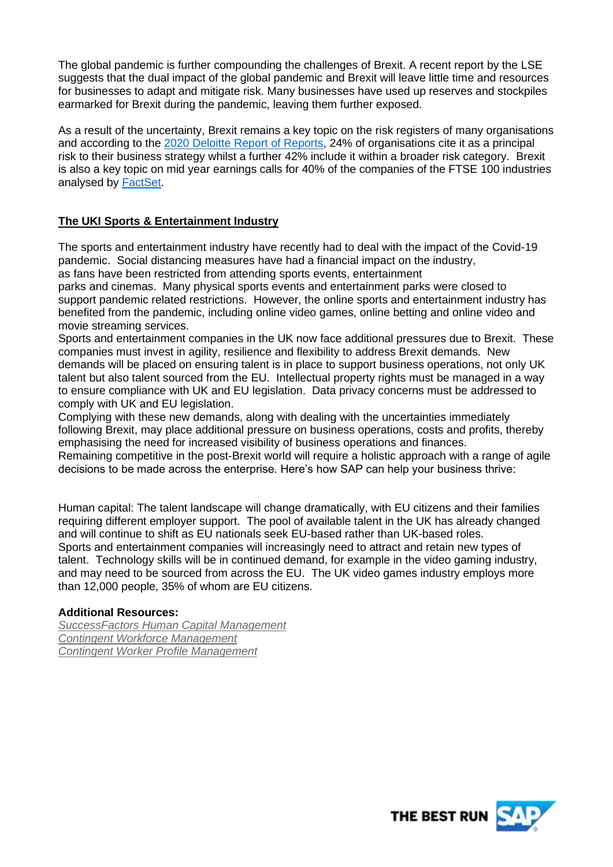The global pandemic is further compounding the challenges of Brexit. A recent report by the LSE suggests that the dual impact of the global pandemic and Brexit will leave little time and resources for businesses to adapt and mitigate risk. Many businesses have used up reserves and stockpiles earmarked for Brexit during the pandemic, leaving them further exposed.

As a result of the uncertainty, Brexit remains a key topic on the risk registers of many organisations and according to the [2020 Deloitte Report of Reports,](https://www2.deloitte.com/uk/en/pages/audit/articles/annual-report-insights-2020.html) 24% of organisations cite it as a principal risk to their business strategy whilst a further 42% include it within a broader risk category. Brexit is also a key topic on mid year earnings calls for 40% of the companies of the FTSE 100 industries analysed by [FactSet.](https://insight.factset.com/which-uk-industries-will-likely-be-impacted-by-brexit)

# **The UKI Sports & Entertainment Industry**

The sports and entertainment industry have recently had to deal with the impact of the Covid-19 pandemic. Social distancing measures have had a financial impact on the industry, as fans have been restricted from attending sports events, entertainment

parks and cinemas. Many physical sports events and entertainment parks were closed to support pandemic related restrictions. However, the online sports and entertainment industry has benefited from the pandemic, including online video games, online betting and online video and movie streaming services.

Sports and entertainment companies in the UK now face additional pressures due to Brexit. These companies must invest in agility, resilience and flexibility to address Brexit demands. New demands will be placed on ensuring talent is in place to support business operations, not only UK talent but also talent sourced from the EU. Intellectual property rights must be managed in a way to ensure compliance with UK and EU legislation. Data privacy concerns must be addressed to comply with UK and EU legislation.

Complying with these new demands, along with dealing with the uncertainties immediately following Brexit, may place additional pressure on business operations, costs and profits, thereby emphasising the need for increased visibility of business operations and finances.

Remaining competitive in the post-Brexit world will require a holistic approach with a range of agile decisions to be made across the enterprise. Here's how SAP can help your business thrive:

Human capital: The talent landscape will change dramatically, with EU citizens and their families requiring different employer support. The pool of available talent in the UK has already changed and will continue to shift as EU nationals seek EU-based rather than UK-based roles. Sports and entertainment companies will increasingly need to attract and retain new types of talent. Technology skills will be in continued demand, for example in the video gaming industry, and may need to be sourced from across the EU. The UK video games industry employs more than 12,000 people, 35% of whom are EU citizens.

## **Additional Resources:**

*SuccessFactors [Human Capital Management](https://www.sap.com/uk/products/human-resources-hcm/about-successfactors.html) [Contingent Workforce Management](https://www.fieldglass.com/solutions/contingent-workforce-management) [Contingent Worker Profile Management](:%20https:/www.fieldglass.com/solutions/worker-profile-management)*